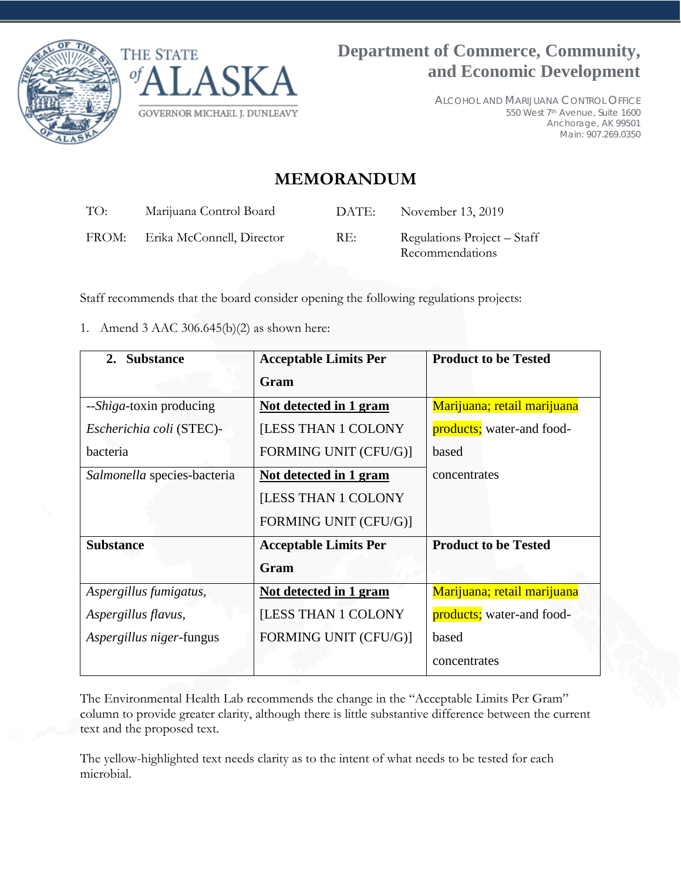



ALCOHOL AND MARIJUANA CONTROL OFFICE 550 West 7th Avenue, Suite 1600 Anchorage, AK 99501 Main: 907.269.0350

## **MEMORANDUM**

| TO:   | Marijuana Control Board   | DATE: | November 13, 2019                              |
|-------|---------------------------|-------|------------------------------------------------|
| FROM: | Erika McConnell, Director | RE:   | Regulations Project – Staff<br>Recommendations |

Staff recommends that the board consider opening the following regulations projects:

1. Amend 3 AAC 306.645(b)(2) as shown here:

| 2. Substance                     | <b>Acceptable Limits Per</b>  | <b>Product to be Tested</b> |
|----------------------------------|-------------------------------|-----------------------------|
|                                  | Gram                          |                             |
| -- <i>Shiga</i> -toxin producing | <u>Not detected in 1 gram</u> | Marijuana; retail marijuana |
| Escherichia coli (STEC)-         | [LESS THAN 1 COLONY           | products; water-and food-   |
| bacteria                         | FORMING UNIT (CFU/G)]         | based                       |
| Salmonella species-bacteria      | Not detected in 1 gram        | concentrates                |
|                                  | <b>[LESS THAN 1 COLONY</b>    |                             |
|                                  | FORMING UNIT (CFU/G)]         |                             |
| <b>Substance</b>                 | <b>Acceptable Limits Per</b>  | <b>Product to be Tested</b> |
|                                  | Gram                          |                             |
| Aspergillus fumigatus,           | Not detected in 1 gram        | Marijuana; retail marijuana |
| Aspergillus flavus,              | <b>ILESS THAN 1 COLONY</b>    | products; water-and food-   |
| Aspergillus niger-fungus         | FORMING UNIT (CFU/G)]         | based                       |
|                                  |                               | concentrates                |

The Environmental Health Lab recommends the change in the "Acceptable Limits Per Gram" column to provide greater clarity, although there is little substantive difference between the current text and the proposed text.

The yellow-highlighted text needs clarity as to the intent of what needs to be tested for each microbial.